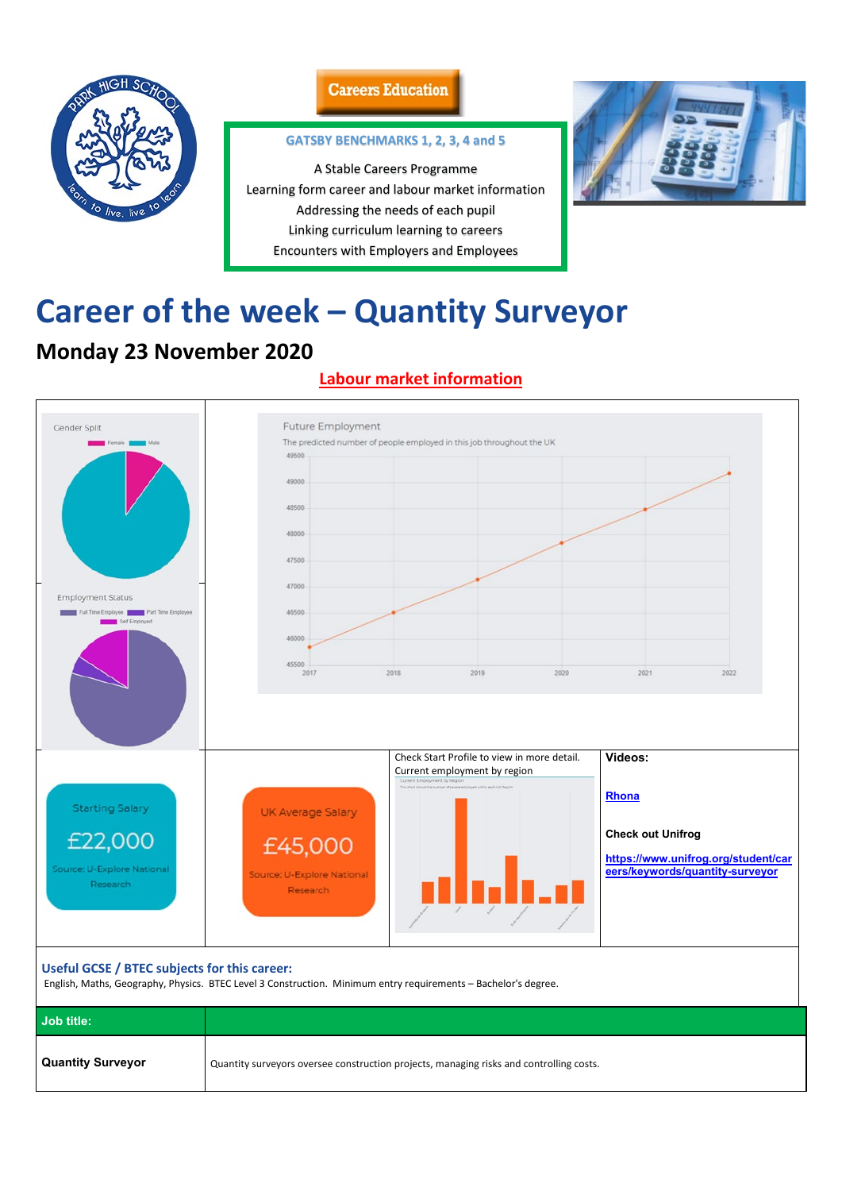

### **Careers Education**

# **Career of the week – Quantity Surveyor**

# **Monday 23 November 2020**

## **Labour market information**



| Useful GCSE / BTEC subjects for this career:<br>English, Maths, Geography, Physics. BTEC Level 3 Construction. Minimum entry requirements - Bachelor's degree. |                                                                                         |  |
|----------------------------------------------------------------------------------------------------------------------------------------------------------------|-----------------------------------------------------------------------------------------|--|
| Job title:                                                                                                                                                     |                                                                                         |  |
| <b>Quantity Surveyor</b>                                                                                                                                       | Quantity surveyors oversee construction projects, managing risks and controlling costs. |  |

#### **GATSBY BENCHMARKS 1, 2, 3, 4 and 5**

A Stable Careers Programme Learning form career and labour market information Addressing the needs of each pupil Linking curriculum learning to careers Encounters with Employers and Employees